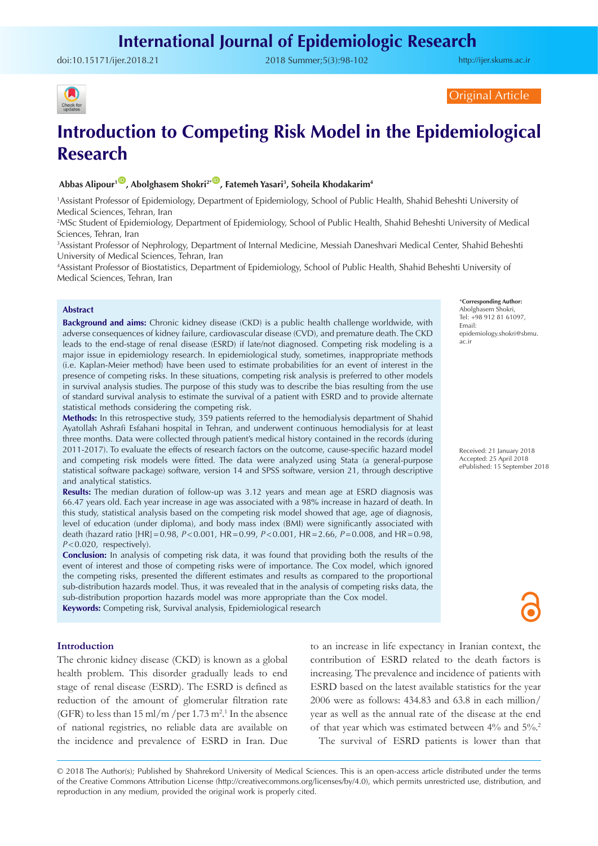doi:[10.15171/ijer.2018.21](https://doi.org/10.15171/ijer.2018.21) 2018 Summer;5(3):98-102

<http://ijer.skums.ac.ir>



Original Article

# **Introduction to Competing Risk Model in the Epidemiological Research**

# Abbas Alipour<sup>1</sub><sup>1</sup>, Abolghasem Shokri<sup>2+</sup><sup>10</sup>, Fatemeh Yasari<sup>3</sup>, Soheila Khodakarim<sup>4</sup></sup>

1 Assistant Professor of Epidemiology, Department of Epidemiology, School of Public Health, Shahid Beheshti University of Medical Sciences, Tehran, Iran

2 MSc Student of Epidemiology, Department of Epidemiology, School of Public Health, Shahid Beheshti University of Medical Sciences, Tehran, Iran

3 Assistant Professor of Nephrology, Department of Internal Medicine, Messiah Daneshvari Medical Center, Shahid Beheshti University of Medical Sciences, Tehran, Iran

4 Assistant Professor of Biostatistics, Department of Epidemiology, School of Public Health, Shahid Beheshti University of Medical Sciences, Tehran, Iran

#### **Abstract**

**Background and aims:** Chronic kidney disease (CKD) is a public health challenge worldwide, with adverse consequences of kidney failure, cardiovascular disease (CVD), and premature death. The CKD leads to the end-stage of renal disease (ESRD) if late/not diagnosed. Competing risk modeling is a major issue in epidemiology research. In epidemiological study, sometimes, inappropriate methods (i.e. Kaplan-Meier method) have been used to estimate probabilities for an event of interest in the presence of competing risks. In these situations, competing risk analysis is preferred to other models in survival analysis studies. The purpose of this study was to describe the bias resulting from the use of standard survival analysis to estimate the survival of a patient with ESRD and to provide alternate statistical methods considering the competing risk.

**Methods:** In this retrospective study, 359 patients referred to the hemodialysis department of Shahid Ayatollah Ashrafi Esfahani hospital in Tehran, and underwent continuous hemodialysis for at least three months. Data were collected through patient's medical history contained in the records (during 2011-2017). To evaluate the effects of research factors on the outcome, cause-specific hazard model and competing risk models were fitted. The data were analyzed using Stata (a general-purpose statistical software package) software, version 14 and SPSS software, version 21, through descriptive and analytical statistics.

**Results:** The median duration of follow-up was 3.12 years and mean age at ESRD diagnosis was 66.47 years old. Each year increase in age was associated with a 98% increase in hazard of death. In this study, statistical analysis based on the competing risk model showed that age, age of diagnosis, level of education (under diploma), and body mass index (BMI) were significantly associated with death (hazard ratio [HR]=0.98, *P*<0.001, HR=0.99, *P*<0.001, HR=2.66, *P*=0.008, and HR=0.98, *P*<0.020, respectively).

**Conclusion:** In analysis of competing risk data, it was found that providing both the results of the event of interest and those of competing risks were of importance. The Cox model, which ignored the competing risks, presented the different estimates and results as compared to the proportional sub-distribution hazards model. Thus, it was revealed that in the analysis of competing risks data, the sub-distribution proportion hazards model was more appropriate than the Cox model. **Keywords:** Competing risk, Survival analysis, Epidemiological research

#### **Introduction**

The chronic kidney disease (CKD) is known as a global health problem. This disorder gradually leads to end stage of renal disease (ESRD). The ESRD is defined as reduction of the amount of glomerular filtration rate (GFR) to less than  $15 \text{ ml/m}$  / per  $1.73 \text{ m}^2$ .<sup>1</sup> In the absence of national registries, no reliable data are available on the incidence and prevalence of ESRD in Iran. Due

to an increase in life expectancy in Iranian context, the contribution of ESRD related to the death factors is increasing. The prevalence and incidence of patients with ESRD based on the latest available statistics for the year 2006 were as follows: 434.83 and 63.8 in each million/ year as well as the annual rate of the disease at the end of that year which was estimated between 4% and 5%.2 The survival of ESRD patients is lower than that

© 2018 The Author(s); Published by Shahrekord University of Medical Sciences. This is an open-access article distributed under the terms of the Creative Commons Attribution License (http://creativecommons.org/licenses/by/4.0), which permits unrestricted use, distribution, and reproduction in any medium, provided the original work is properly cited.

\***Corresponding Author:** Abolghasem Shokri, Tel: +98 912 81 61097, Email: epidemiology.shokri@sbmu. ac.ir

Received: 21 January 2018 Accepted: 25 April 2018 ePublished: 15 September 2018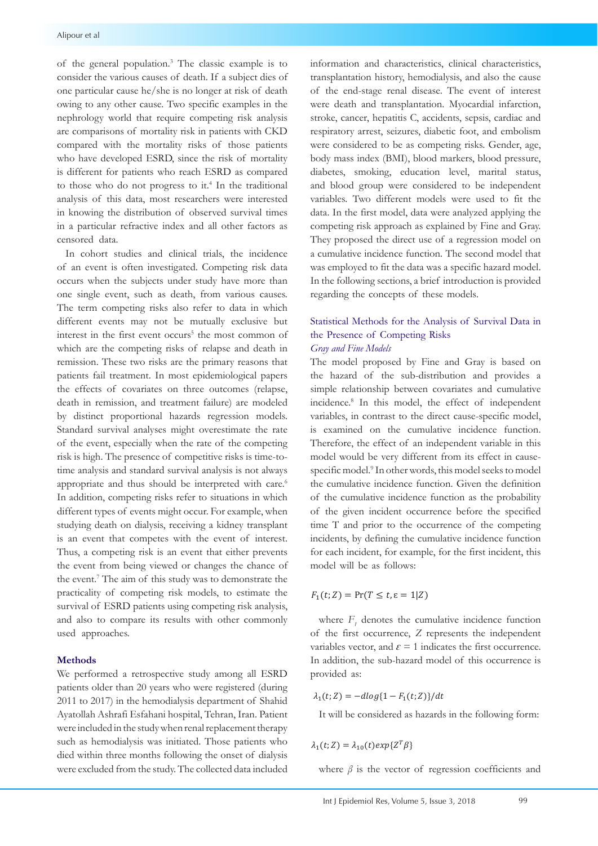of the general population.3 The classic example is to consider the various causes of death. If a subject dies of one particular cause he/she is no longer at risk of death owing to any other cause. Two specific examples in the nephrology world that require competing risk analysis are comparisons of mortality risk in patients with CKD compared with the mortality risks of those patients who have developed ESRD, since the risk of mortality is different for patients who reach ESRD as compared to those who do not progress to it.<sup>4</sup> In the traditional analysis of this data, most researchers were interested in knowing the distribution of observed survival times in a particular refractive index and all other factors as censored data.

In cohort studies and clinical trials, the incidence of an event is often investigated. Competing risk data occurs when the subjects under study have more than one single event, such as death, from various causes. The term competing risks also refer to data in which different events may not be mutually exclusive but interest in the first event occurs<sup>5</sup> the most common of which are the competing risks of relapse and death in Gray and Fine Models remission. These two risks are the primary reasons that **Risks** patients fail treatment. In most epidemiological papers the effects of covariates on three outcomes (relapse, death in remission, and treatment failure) are modeled by distinct proportional hazards regression models. Standard survival analyses might overestimate the rate of the event, especially when the rate of the competing risk is high. The presence of competitive risks is time-totime analysis and standard survival analysis is not always appropriate and thus should be interpreted with care.<sup>6</sup> In addition, competing risks refer to situations in which different types of events might occur. For example, when studying death on dialysis, receiving a kidney transplant is an event that competes with the event of interest. Thus, a competing risk is an event that either prevents the event from being viewed or changes the chance of model will be as follow the event.7 The aim of this study was to demonstrate the practicality of competing risk models, to estimate the survival of ESRD patients using competing risk analysis, and also to compare its results with other commonly used approaches.

# **Methods**

We performed a retrospective study among all ESRD patients older than 20 years who were registered (during 2011 to 2017) in the hemodialysis department of Shahid Ayatollah Ashrafi Esfahani hospital, Tehran, Iran. Patient were included in the study when renal replacement therapy such as hemodialysis was initiated. Those patients who died within three months following the onset of dialysis were excluded from the study. The collected data included

information and characteristics, clinical characteristics, transplantation history, hemodialysis, and also the cause of the end-stage renal disease. The event of interest were death and transplantation. Myocardial infarction, stroke, cancer, hepatitis C, accidents, sepsis, cardiac and respiratory arrest, seizures, diabetic foot, and embolism were considered to be as competing risks. Gender, age, extractive mass index constants to the complete particle contact, age, exists of mortality body mass index (BMI), blood markers, blood pressure, SRD as compared diabetes, smoking, education level, marital status, In the traditional and blood group were considered to be independent rs were interested variables. Two different models were used to fit the ved survival times data. In the first model, data were analyzed applying the other factors as competing risk approach as explained by Fine and Gray. They proposed the direct use of a regression model on als, the incidence a cumulative incidence function. The second model that  $\frac{1}{2}$ ompeting risk data was employed to fit the data was a specific hazard model. y have more than In the following sections, a brief introduction is provided various causes. regarding the concepts of these models.

# Statistical Methods for the Analysis of Survival Data in the Presence of Competing Risks *Gray and Fine Models*

The model proposed by Fine and Gray is based on the hazard of the sub-distribution and provides a **Statistical Methods for the Analysis of Survival Data in the Presence of Competing**  simple relationship between covariates and cumulative incidence.8 In this model, the effect of independent egression models. variables, in contrast to the direct cause-specific model, restimate the rate is examined on the cumulative incidence function. of the competing Therefore, the effect of an independent variable in this model would be very different from its effect in causealysis is not always specific model.<sup>9</sup> In other words, this model seeks to model preted with care.<sup>6</sup> the cumulative incidence function. Given the definition situations in which of the cumulative incidence function as the probability For example, when of the given incident occurrence before the specified kidney transplant time T and prior to the occurrence of the competing vent of interest. incidents, by defining the cumulative incidence function From Strandard incident, for each incident, for example, for the first incident, this haddent, for each incident, for example, for the first incident, this ges the chance of model will be as follows: incidents, and call incident, for example, for the first incident, this

$$
F_1(t;Z) = \Pr(T \le t, \varepsilon = 1|Z)
$$

of the first occurrence, Z represents the independent variables vector, and  $\varepsilon = 1$  indicates the first occurrence. In addition, the sub-hazard model of this occurrence is where  $F<sub>1</sub>$  denotes the cumulative incidence function provided as:

$$
\lambda_1(t;Z)=-dlog\{1-F_1(t;Z)\}/dt
$$

4 4 It will be considered as hazards in the following form: It will be considered as hazards in the following form:

$$
\lambda_1(t;Z)=\lambda_{10}(t)exp\{Z^T\beta\}
$$

where *β* is the vector of regression coefficients and *λ10(t)* displays a nonparametric where  $\beta$  is the vector of regression coefficients and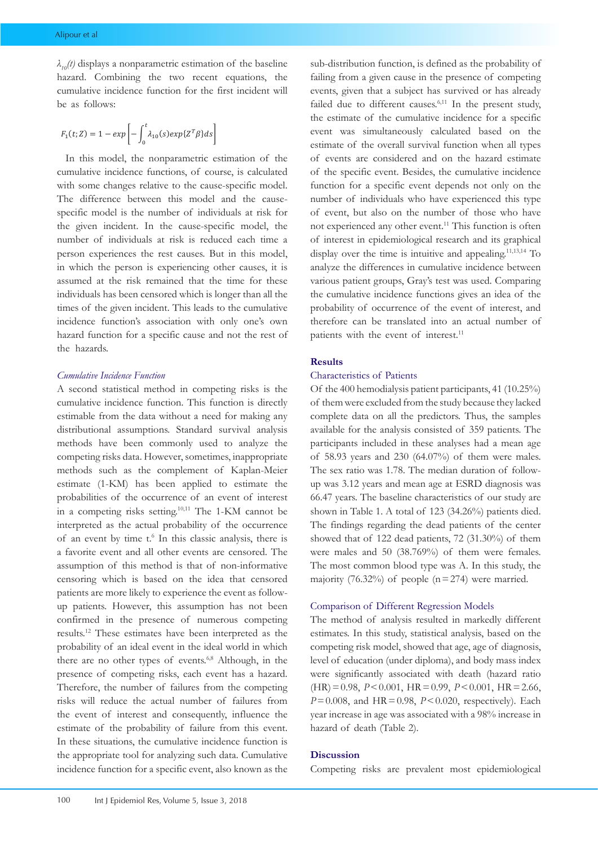$λ<sub>10</sub>(t)$  displays a nonparametric estimation of the baseline *hazard.* Combining the two recent equations, the cumulative incidence function for the first incident will be as follows:

$$
F_1(t;Z) = 1 - exp\left[-\int_0^t \lambda_{10}(s)exp\{Z^T\beta\}ds\right]
$$

In this model, the nonparametric estimation of the cumulative incidence functions, of course, is calculated with some changes relative to the cause-specific model. The difference between this model and the causespecific model is the number of individuals at risk for the given incident. In the cause-specific model, the number of individuals at risk is reduced each time a person experiences the rest causes. But in this model, in which the person is experiencing other causes, it is *2.1.2 Cumulative Incidence Function* incidence function's association with only one's own hazard function for a specific cause and not the rest of the hazards. assumed at the risk remained that the time for these individuals has been censored which is longer than all the times of the given incident. This leads to the cumulative

# the competing risks data. However, sometimes, inappropriate methods such as the *Cumulative Incidence Function*

estimate (1-KM) has been applied to estimate the A second statistical method in competing risks is the cumulative incidence function. This function is directly estimable from the data without a need for making any distributional assumptions. Standard survival analysis methods have been commonly used to analyze the competing risks data. However, sometimes, inappropriate methods such as the complement of Kaplan-Meier probabilities of the occurrence of an event of interest in a competing risks setting.10,11 The 1-KM cannot be interpreted as the actual probability of the occurrence of an event by time t.<sup>6</sup> In this classic analysis, there is a favorite event and all other events are censored. The assumption of this method is that of non-informative censoring which is based on the idea that censored patients are more likely to experience the event as followup patients. However, this assumption has not been confirmed in the presence of numerous competing results.12 These estimates have been interpreted as the probability of an ideal event in the ideal world in which there are no other types of events.<sup>6,8</sup> Although, in the presence of competing risks, each event has a hazard. Therefore, the number of failures from the competing risks will reduce the actual number of failures from the event of interest and consequently, influence the estimate of the probability of failure from this event. In these situations, the cumulative incidence function is the appropriate tool for analyzing such data. Cumulative incidence function for a specific event, also known as the

sub-distribution function, is defined as the probability of failing from a given cause in the presence of competing events, given that a subject has survived or has already failed due to different causes.<sup>6,11</sup> In the present study, the estimate of the cumulative incidence for a specific event was simultaneously calculated based on the estimate of the overall survival function when all types of events are considered and on the hazard estimate of the specific event. Besides, the cumulative incidence function for a specific event depends not only on the number of individuals who have experienced this type of event, but also on the number of those who have not experienced any other event.11 This function is often of interest in epidemiological research and its graphical display over the time is intuitive and appealing.<sup>11,13,14</sup> To analyze the differences in cumulative incidence between various patient groups, Gray's test was used. Comparing the cumulative incidence functions gives an idea of the probability of occurrence of the event of interest, and therefore can be translated into an actual number of patients with the event of interest.<sup>11</sup>

# **Results**

## Characteristics of Patients

Of the 400 hemodialysis patient participants, 41 (10.25%) of them were excluded from the study because they lacked complete data on all the predictors. Thus, the samples available for the analysis consisted of 359 patients. The participants included in these analyses had a mean age of 58.93 years and 230 (64.07%) of them were males. The sex ratio was 1.78. The median duration of followup was 3.12 years and mean age at ESRD diagnosis was 66.47 years. The baseline characteristics of our study are shown in Table 1. A total of 123 (34.26%) patients died. The findings regarding the dead patients of the center showed that of 122 dead patients, 72 (31.30%) of them were males and 50 (38.769%) of them were females. The most common blood type was A. In this study, the majority (76.32%) of people ( $n=274$ ) were married.

#### Comparison of Different Regression Models

The method of analysis resulted in markedly different estimates. In this study, statistical analysis, based on the competing risk model, showed that age, age of diagnosis, level of education (under diploma), and body mass index were significantly associated with death (hazard ratio (HR)=0.98, *P*<0.001, HR=0.99, *P*<0.001, HR=2.66,  $P=0.008$ , and  $HR=0.98$ ,  $P<0.020$ , respectively). Each year increase in age was associated with a 98% increase in hazard of death (Table 2).

## **Discussion**

Competing risks are prevalent most epidemiological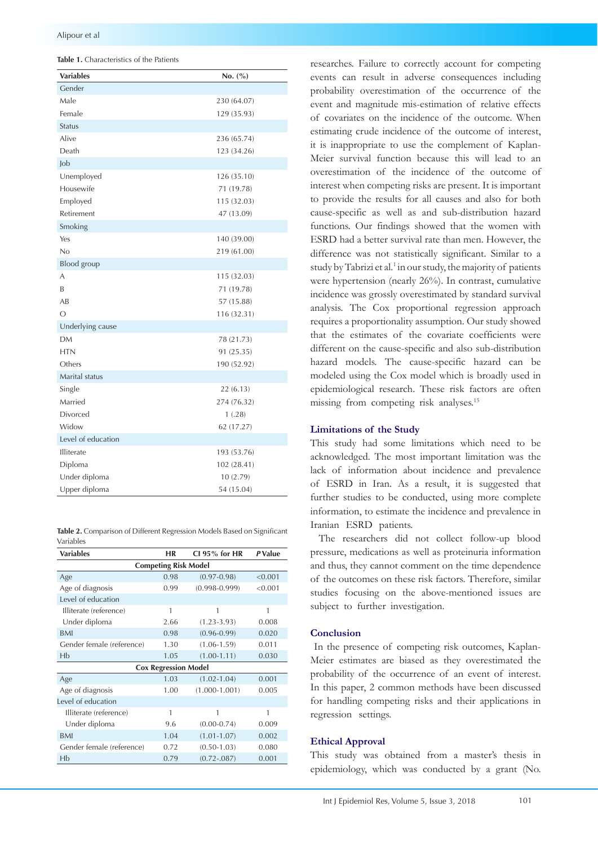| <b>Variables</b>   | No. (%)     |  |  |
|--------------------|-------------|--|--|
| Gender             |             |  |  |
| Male               | 230 (64.07) |  |  |
| Female             | 129 (35.93) |  |  |
| <b>Status</b>      |             |  |  |
| Alive              | 236 (65.74) |  |  |
| Death              | 123 (34.26) |  |  |
| Job                |             |  |  |
| Unemployed         | 126(35.10)  |  |  |
| Housewife          | 71 (19.78)  |  |  |
| Employed           | 115 (32.03) |  |  |
| Retirement         | 47 (13.09)  |  |  |
| Smoking            |             |  |  |
| Yes                | 140 (39.00) |  |  |
| No                 | 219 (61.00) |  |  |
| Blood group        |             |  |  |
| A                  | 115 (32.03) |  |  |
| B                  | 71 (19.78)  |  |  |
| AB                 | 57 (15.88)  |  |  |
| $\circ$            | 116 (32.31) |  |  |
| Underlying cause   |             |  |  |
| <b>DM</b>          | 78 (21.73)  |  |  |
| <b>HTN</b>         | 91 (25.35)  |  |  |
| Others             | 190 (52.92) |  |  |
| Marital status     |             |  |  |
| Single             | 22(6.13)    |  |  |
| Married            | 274 (76.32) |  |  |
| Divorced           | 1(.28)      |  |  |
| Widow              | 62 (17.27)  |  |  |
| Level of education |             |  |  |
| Illiterate         | 193 (53.76) |  |  |
| Diploma            | 102 (28.41) |  |  |
| Under diploma      | 10 (2.79)   |  |  |
| Upper diploma      | 54 (15.04)  |  |  |

**Table 2.** Comparison of Different Regression Models Based on Significant Variables

| <b>Variables</b>            | ΗR   | CI 95% for HR     | P Value |
|-----------------------------|------|-------------------|---------|
| <b>Competing Risk Model</b> |      |                   |         |
| Age                         | 0.98 | $(0.97 - 0.98)$   | < 0.001 |
| Age of diagnosis            | 0.99 | $(0.998 - 0.999)$ | < 0.001 |
| Level of education          |      |                   |         |
| Illiterate (reference)      | 1    | 1                 | 1       |
| Under diploma               | 2.66 | $(1.23 - 3.93)$   | 0.008   |
| <b>BMI</b>                  | 0.98 | $(0.96 - 0.99)$   | 0.020   |
| Gender female (reference)   | 1.30 | $(1.06 - 1.59)$   | 0.011   |
| Hb                          | 1.05 | $(1.00 - 1.11)$   | 0.030   |
| <b>Cox Regression Model</b> |      |                   |         |
| Age                         | 1.03 | $(1.02 - 1.04)$   | 0.001   |
| Age of diagnosis            | 1.00 | $(1.000 - 1.001)$ | 0.005   |
| Level of education          |      |                   |         |
| Illiterate (reference)      | 1    | 1                 | 1       |
| Under diploma               | 9.6  | $(0.00 - 0.74)$   | 0.009   |
| <b>BMI</b>                  | 1.04 | $(1.01 - 1.07)$   | 0.002   |
| Gender female (reference)   | 0.72 | $(0.50 - 1.03)$   | 0.080   |
| Hb                          | 0.79 | $(0.72 - 0.087)$  | 0.001   |

researches. Failure to correctly account for competing events can result in adverse consequences including probability overestimation of the occurrence of the event and magnitude mis-estimation of relative effects of covariates on the incidence of the outcome. When estimating crude incidence of the outcome of interest, it is inappropriate to use the complement of Kaplan-Meier survival function because this will lead to an overestimation of the incidence of the outcome of interest when competing risks are present. It is important to provide the results for all causes and also for both cause-specific as well as and sub-distribution hazard functions. Our findings showed that the women with ESRD had a better survival rate than men. However, the difference was not statistically significant. Similar to a study by Tabrizi et al.<sup>1</sup> in our study, the majority of patients were hypertension (nearly 26%). In contrast, cumulative incidence was grossly overestimated by standard survival analysis. The Cox proportional regression approach requires a proportionality assumption. Our study showed that the estimates of the covariate coefficients were different on the cause-specific and also sub-distribution hazard models. The cause-specific hazard can be modeled using the Cox model which is broadly used in epidemiological research. These risk factors are often missing from competing risk analyses.<sup>15</sup>

## **Limitations of the Study**

This study had some limitations which need to be acknowledged. The most important limitation was the lack of information about incidence and prevalence of ESRD in Iran. As a result, it is suggested that further studies to be conducted, using more complete information, to estimate the incidence and prevalence in Iranian ESRD patients.

The researchers did not collect follow-up blood pressure, medications as well as proteinuria information and thus, they cannot comment on the time dependence of the outcomes on these risk factors. Therefore, similar studies focusing on the above-mentioned issues are subject to further investigation.

## **Conclusion**

 In the presence of competing risk outcomes, Kaplan-Meier estimates are biased as they overestimated the probability of the occurrence of an event of interest. In this paper, 2 common methods have been discussed for handling competing risks and their applications in regression settings.

# **Ethical Approval**

This study was obtained from a master's thesis in epidemiology, which was conducted by a grant (No.